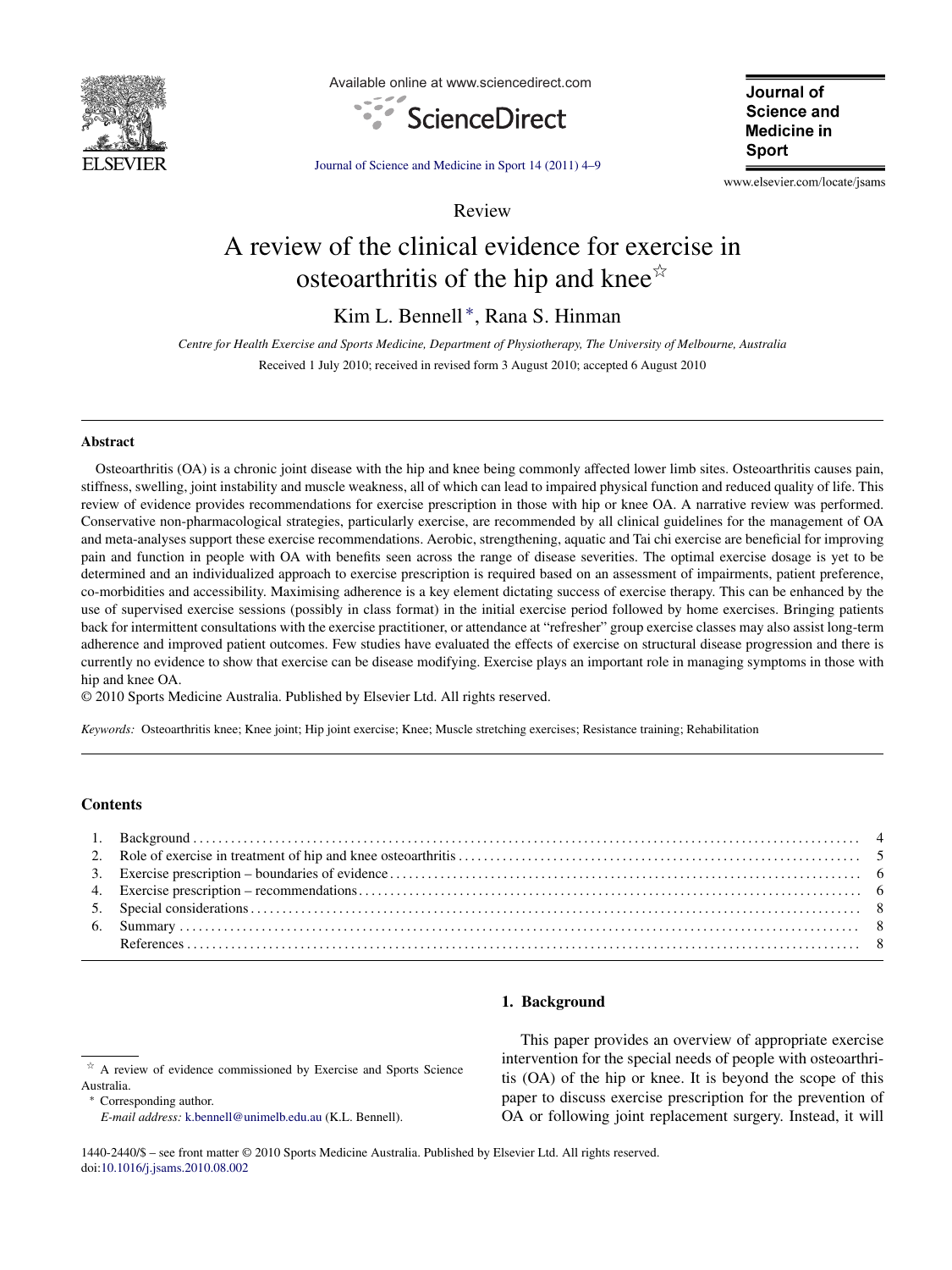

Available online at www.sciencedirect.com



Journal of Science and **Medicine in** Sport

[Journal of Science and Medicine in Sport 14 \(2011\)](dx.doi.org/10.1016/j.jsams.2010.08.002) 4–9

Review

www.elsevier.com/locate/jsams

# A review of the clinical evidence for exercise in osteoarthritis of the hip and knee $\dot{\alpha}$

Kim L. Bennell ∗, Rana S. Hinman

*Centre for Health Exercise and Sports Medicine, Department of Physiotherapy, The University of Melbourne, Australia* Received 1 July 2010; received in revised form 3 August 2010; accepted 6 August 2010

# **Abstract**

Osteoarthritis (OA) is a chronic joint disease with the hip and knee being commonly affected lower limb sites. Osteoarthritis causes pain, stiffness, swelling, joint instability and muscle weakness, all of which can lead to impaired physical function and reduced quality of life. This review of evidence provides recommendations for exercise prescription in those with hip or knee OA. A narrative review was performed. Conservative non-pharmacological strategies, particularly exercise, are recommended by all clinical guidelines for the management of OA and meta-analyses support these exercise recommendations. Aerobic, strengthening, aquatic and Tai chi exercise are beneficial for improving pain and function in people with OA with benefits seen across the range of disease severities. The optimal exercise dosage is yet to be determined and an individualized approach to exercise prescription is required based on an assessment of impairments, patient preference, co-morbidities and accessibility. Maximising adherence is a key element dictating success of exercise therapy. This can be enhanced by the use of supervised exercise sessions (possibly in class format) in the initial exercise period followed by home exercises. Bringing patients back for intermittent consultations with the exercise practitioner, or attendance at "refresher" group exercise classes may also assist long-term adherence and improved patient outcomes. Few studies have evaluated the effects of exercise on structural disease progression and there is currently no evidence to show that exercise can be disease modifying. Exercise plays an important role in managing symptoms in those with hip and knee OA.

© 2010 Sports Medicine Australia. Published by Elsevier Ltd. All rights reserved.

*Keywords:* Osteoarthritis knee; Knee joint; Hip joint exercise; Knee; Muscle stretching exercises; Resistance training; Rehabilitation

# **Contents**

#### **1. Background**

Corresponding author.

This paper provides an overview of appropriate exercise intervention for the special needs of people with osteoarthritis (OA) of the hip or knee. It is beyond the scope of this paper to discuss exercise prescription for the prevention of OA or following joint replacement surgery. Instead, it will

 $*$  A review of evidence commissioned by Exercise and Sports Science Australia.

*E-mail address:* [k.bennell@unimelb.edu.au](mailto:k.bennell@unimelb.edu.au) (K.L. Bennell).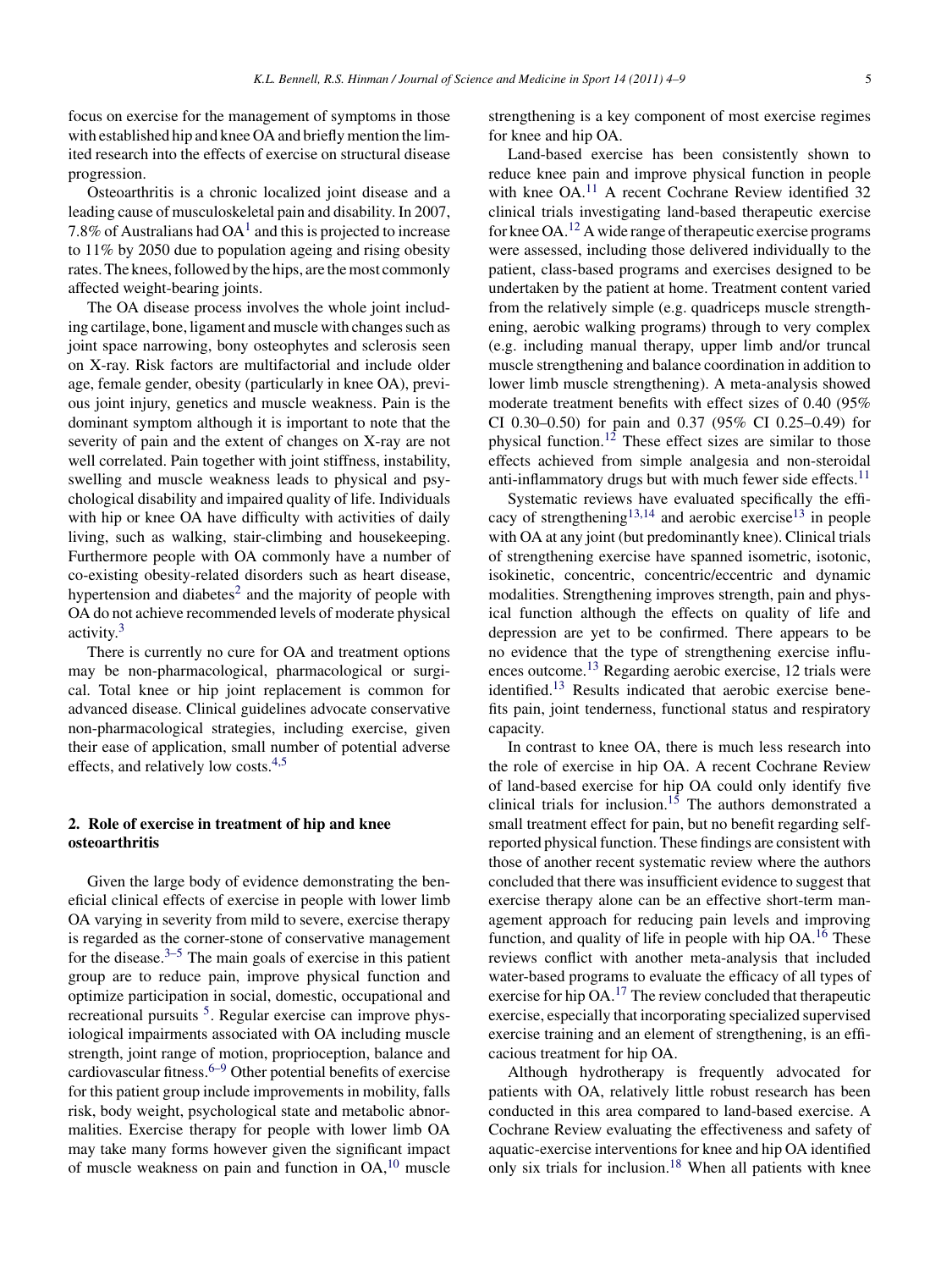focus on exercise for the management of symptoms in those with established hip and knee OA and briefly mention the limited research into the effects of exercise on structural disease progression.

Osteoarthritis is a chronic localized joint disease and a leading cause of musculoskeletal pain and disability. In 2007, 7.8% of Australians had  $OA<sup>1</sup>$  $OA<sup>1</sup>$  $OA<sup>1</sup>$  and this is projected to increase to 11% by 2050 due to population ageing and rising obesity rates. The knees, followed by the hips, are the most commonly affected weight-bearing joints.

The OA disease process involves the whole joint including cartilage, bone, ligament and muscle with changes such as joint space narrowing, bony osteophytes and sclerosis seen on X-ray. Risk factors are multifactorial and include older age, female gender, obesity (particularly in knee OA), previous joint injury, genetics and muscle weakness. Pain is the dominant symptom although it is important to note that the severity of pain and the extent of changes on X-ray are not well correlated. Pain together with joint stiffness, instability, swelling and muscle weakness leads to physical and psychological disability and impaired quality of life. Individuals with hip or knee OA have difficulty with activities of daily living, such as walking, stair-climbing and housekeeping. Furthermore people with OA commonly have a number of co-existing obesity-related disorders such as heart disease, hypertension and diabetes<sup>[2](#page-4-0)</sup> and the majority of people with OA do not achieve recommended levels of moderate physical activity[.3](#page-4-0)

There is currently no cure for OA and treatment options may be non-pharmacological, pharmacological or surgical. Total knee or hip joint replacement is common for advanced disease. Clinical guidelines advocate conservative non-pharmacological strategies, including exercise, given their ease of application, small number of potential adverse effects, and relatively low costs.[4,5](#page-4-0)

# **2. Role of exercise in treatment of hip and knee osteoarthritis**

Given the large body of evidence demonstrating the beneficial clinical effects of exercise in people with lower limb OA varying in severity from mild to severe, exercise therapy is regarded as the corner-stone of conservative management for the disease. $3-5$  The main goals of exercise in this patient group are to reduce pain, improve physical function and optimize participation in social, domestic, occupational and recreational pursuits <sup>5</sup>. Regular exercise can improve physiological impairments associated with OA including muscle strength, joint range of motion, proprioception, balance and cardiovascular fitness. $6-9$  Other potential benefits of exercise for this patient group include improvements in mobility, falls risk, body weight, psychological state and metabolic abnormalities. Exercise therapy for people with lower limb OA may take many forms however given the significant impact of muscle weakness on pain and function in  $OA<sub>10</sub><sup>10</sup>$  $OA<sub>10</sub><sup>10</sup>$  $OA<sub>10</sub><sup>10</sup>$  muscle

strengthening is a key component of most exercise regimes for knee and hip OA.

Land-based exercise has been consistently shown to reduce knee pain and improve physical function in people with knee OA.<sup>[11](#page-5-0)</sup> A recent Cochrane Review identified 32 clinical trials investigating land-based therapeutic exercise for knee OA[.12](#page-5-0) A wide range of therapeutic exercise programs were assessed, including those delivered individually to the patient, class-based programs and exercises designed to be undertaken by the patient at home. Treatment content varied from the relatively simple (e.g. quadriceps muscle strengthening, aerobic walking programs) through to very complex (e.g. including manual therapy, upper limb and/or truncal muscle strengthening and balance coordination in addition to lower limb muscle strengthening). A meta-analysis showed moderate treatment benefits with effect sizes of 0.40 (95% CI 0.30–0.50) for pain and 0.37 (95% CI 0.25–0.49) for physical function.[12](#page-5-0) These effect sizes are similar to those effects achieved from simple analgesia and non-steroidal anti-inflammatory drugs but with much fewer side effects.<sup>[11](#page-5-0)</sup>

Systematic reviews have evaluated specifically the effi-cacy of strengthening<sup>[13,14](#page-5-0)</sup> and aerobic exercise<sup>[13](#page-5-0)</sup> in people with OA at any joint (but predominantly knee). Clinical trials of strengthening exercise have spanned isometric, isotonic, isokinetic, concentric, concentric/eccentric and dynamic modalities. Strengthening improves strength, pain and physical function although the effects on quality of life and depression are yet to be confirmed. There appears to be no evidence that the type of strengthening exercise influences outcome[.13](#page-5-0) Regarding aerobic exercise, 12 trials were identified.<sup>[13](#page-5-0)</sup> Results indicated that aerobic exercise benefits pain, joint tenderness, functional status and respiratory capacity.

In contrast to knee OA, there is much less research into the role of exercise in hip OA. A recent Cochrane Review of land-based exercise for hip OA could only identify five clinical trials for inclusion.<sup>[15](#page-5-0)</sup> The authors demonstrated a small treatment effect for pain, but no benefit regarding selfreported physical function. These findings are consistent with those of another recent systematic review where the authors concluded that there was insufficient evidence to suggest that exercise therapy alone can be an effective short-term management approach for reducing pain levels and improving function, and quality of life in people with hip  $OA<sup>16</sup>$  $OA<sup>16</sup>$  $OA<sup>16</sup>$ . These reviews conflict with another meta-analysis that included water-based programs to evaluate the efficacy of all types of exercise for hip  $OA$ <sup>[17](#page-5-0)</sup>. The review concluded that therapeutic exercise, especially that incorporating specialized supervised exercise training and an element of strengthening, is an efficacious treatment for hip OA.

Although hydrotherapy is frequently advocated for patients with OA, relatively little robust research has been conducted in this area compared to land-based exercise. A Cochrane Review evaluating the effectiveness and safety of aquatic-exercise interventions for knee and hip OA identified only six trials for inclusion.<sup>[18](#page-5-0)</sup> When all patients with knee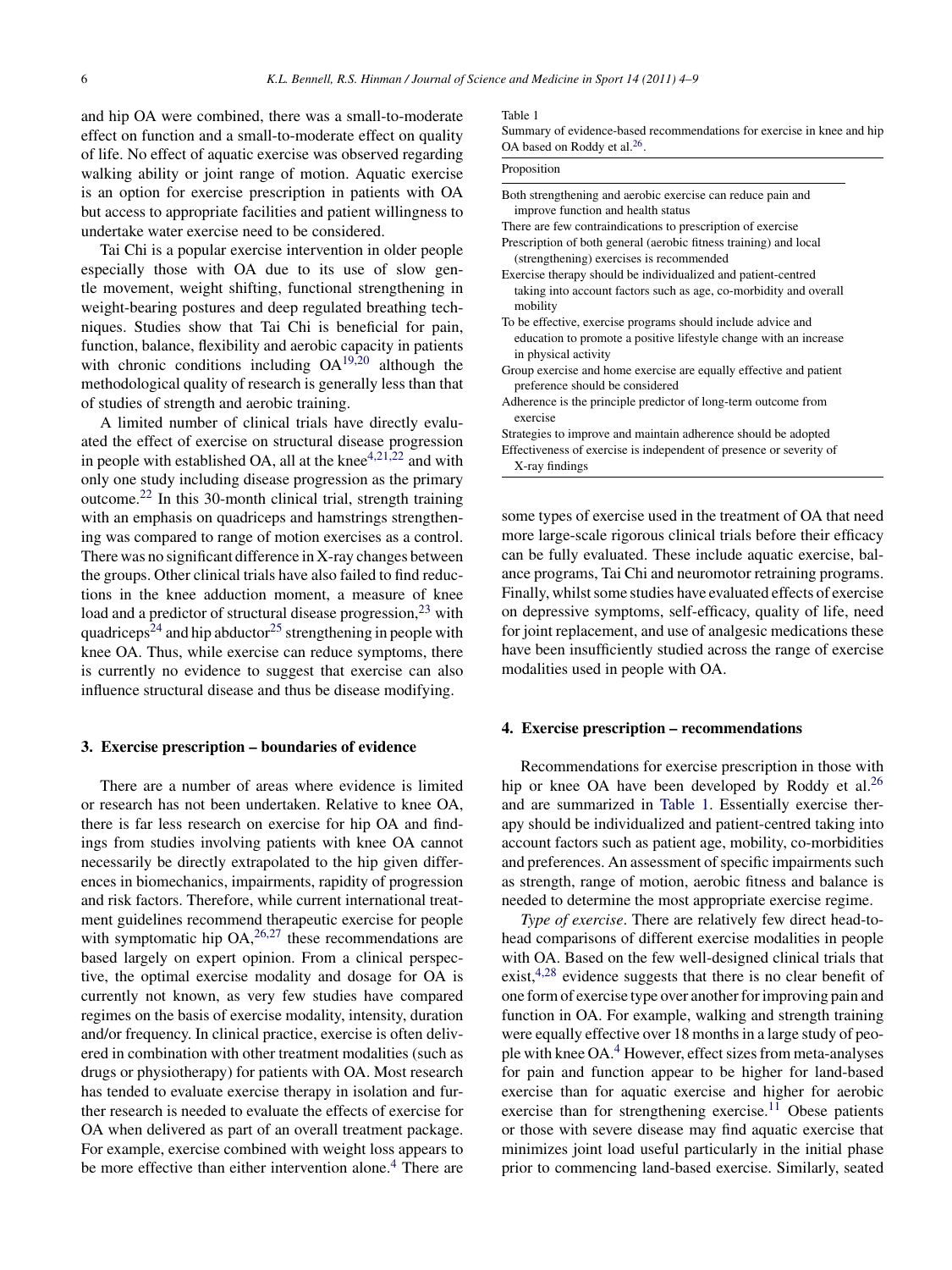and hip OA were combined, there was a small-to-moderate effect on function and a small-to-moderate effect on quality of life. No effect of aquatic exercise was observed regarding walking ability or joint range of motion. Aquatic exercise is an option for exercise prescription in patients with OA but access to appropriate facilities and patient willingness to undertake water exercise need to be considered.

Tai Chi is a popular exercise intervention in older people especially those with OA due to its use of slow gentle movement, weight shifting, functional strengthening in weight-bearing postures and deep regulated breathing techniques. Studies show that Tai Chi is beneficial for pain, function, balance, flexibility and aerobic capacity in patients with chronic conditions including  $OA^{19,20}$  $OA^{19,20}$  $OA^{19,20}$  although the methodological quality of research is generally less than that of studies of strength and aerobic training.

A limited number of clinical trials have directly evaluated the effect of exercise on structural disease progression in people with established OA, all at the knee<sup>[4,21,22](#page-4-0)</sup> and with only one study including disease progression as the primary outcome.[22](#page-5-0) In this 30-month clinical trial, strength training with an emphasis on quadriceps and hamstrings strengthening was compared to range of motion exercises as a control. There was no significant difference in X-ray changes between the groups. Other clinical trials have also failed to find reductions in the knee adduction moment, a measure of knee load and a predictor of structural disease progression,<sup>[23](#page-5-0)</sup> with quadriceps<sup>[24](#page-5-0)</sup> and hip abductor<sup>[25](#page-5-0)</sup> strengthening in people with knee OA. Thus, while exercise can reduce symptoms, there is currently no evidence to suggest that exercise can also influence structural disease and thus be disease modifying.

# **3. Exercise prescription – boundaries of evidence**

There are a number of areas where evidence is limited or research has not been undertaken. Relative to knee OA, there is far less research on exercise for hip OA and findings from studies involving patients with knee OA cannot necessarily be directly extrapolated to the hip given differences in biomechanics, impairments, rapidity of progression and risk factors. Therefore, while current international treatment guidelines recommend therapeutic exercise for people with symptomatic hip  $OA<sub>1</sub><sup>26,27</sup>$  $OA<sub>1</sub><sup>26,27</sup>$  $OA<sub>1</sub><sup>26,27</sup>$  these recommendations are based largely on expert opinion. From a clinical perspective, the optimal exercise modality and dosage for OA is currently not known, as very few studies have compared regimes on the basis of exercise modality, intensity, duration and/or frequency. In clinical practice, exercise is often delivered in combination with other treatment modalities (such as drugs or physiotherapy) for patients with OA. Most research has tended to evaluate exercise therapy in isolation and further research is needed to evaluate the effects of exercise for OA when delivered as part of an overall treatment package. For example, exercise combined with weight loss appears to be more effective than either intervention alone.<sup>[4](#page-4-0)</sup> There are

#### Table 1

| Summary of evidence-based recommendations for exercise in knee and hip |  |
|------------------------------------------------------------------------|--|
| OA based on Roddy et al. <sup>26</sup> .                               |  |

#### Proposition

| Both strengthening and aerobic exercise can reduce pain and<br>improve function and health status |
|---------------------------------------------------------------------------------------------------|
| There are few contraindications to prescription of exercise                                       |
|                                                                                                   |
| Prescription of both general (aerobic fitness training) and local                                 |
| (strengthening) exercises is recommended                                                          |
| Exercise therapy should be individualized and patient-centred                                     |
| taking into account factors such as age, co-morbidity and overall<br>mobility                     |
| To be effective, exercise programs should include advice and                                      |
| education to promote a positive lifestyle change with an increase<br>in physical activity         |
| Group exercise and home exercise are equally effective and patient                                |
| preference should be considered                                                                   |
| Adherence is the principle predictor of long-term outcome from<br>exercise                        |
| Strategies to improve and maintain adherence should be adopted                                    |
| Effectiveness of exercise is independent of presence or severity of                               |
| X-ray findings                                                                                    |

some types of exercise used in the treatment of OA that need more large-scale rigorous clinical trials before their efficacy can be fully evaluated. These include aquatic exercise, balance programs, Tai Chi and neuromotor retraining programs. Finally, whilst some studies have evaluated effects of exercise on depressive symptoms, self-efficacy, quality of life, need for joint replacement, and use of analgesic medications these have been insufficiently studied across the range of exercise modalities used in people with OA.

# **4. Exercise prescription – recommendations**

Recommendations for exercise prescription in those with hip or knee OA have been developed by Roddy et al.<sup>[26](#page-5-0)</sup> and are summarized in Table 1. Essentially exercise therapy should be individualized and patient-centred taking into account factors such as patient age, mobility, co-morbidities and preferences. An assessment of specific impairments such as strength, range of motion, aerobic fitness and balance is needed to determine the most appropriate exercise regime.

*Type of exercise*. There are relatively few direct head-tohead comparisons of different exercise modalities in people with OA. Based on the few well-designed clinical trials that exist,  $4,28$  evidence suggests that there is no clear benefit of one form of exercise type over another for improving pain and function in OA. For example, walking and strength training were equally effective over 18 months in a large study of people with knee OA.<sup>4</sup> [H](#page-4-0)owever, effect sizes from meta-analyses for pain and function appear to be higher for land-based exercise than for aquatic exercise and higher for aerobic exercise than for strengthening exercise.<sup>[11](#page-5-0)</sup> Obese patients or those with severe disease may find aquatic exercise that minimizes joint load useful particularly in the initial phase prior to commencing land-based exercise. Similarly, seated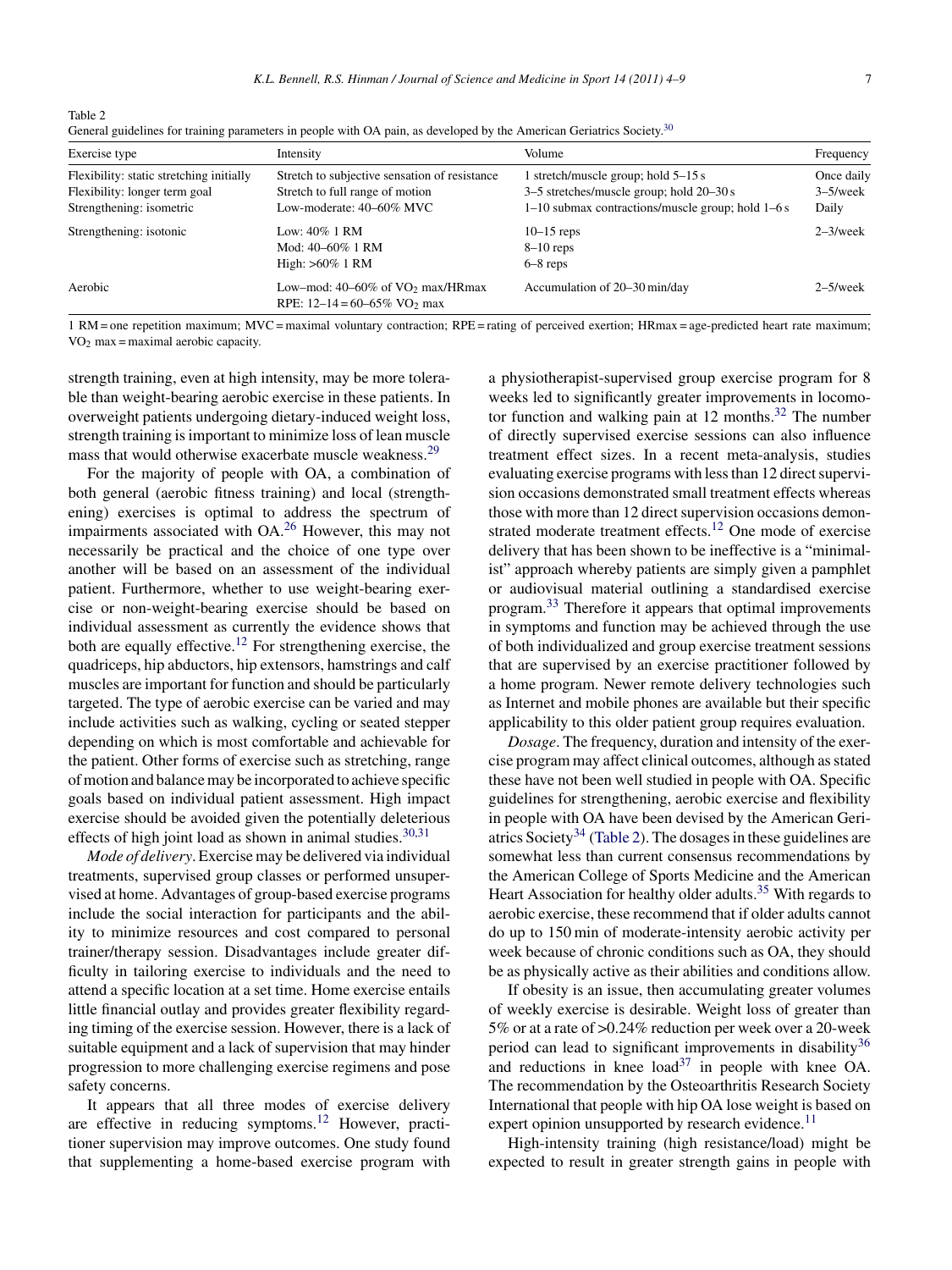Table 2

|  |  |  | Teneral guidelines for training parameters in people with OA pain, as developed by the American Geriatrics Society. <sup>30</sup> |
|--|--|--|-----------------------------------------------------------------------------------------------------------------------------------|
|  |  |  |                                                                                                                                   |
|  |  |  |                                                                                                                                   |
|  |  |  |                                                                                                                                   |

| Exercise type                            | Intensity                                                                                   | Volume                                               | Frequency     |
|------------------------------------------|---------------------------------------------------------------------------------------------|------------------------------------------------------|---------------|
| Flexibility: static stretching initially | Stretch to subjective sensation of resistance                                               | 1 stretch/muscle group; hold 5–15 s                  | Once daily    |
| Flexibility: longer term goal            | Stretch to full range of motion                                                             | $3-5$ stretches/muscle group; hold $20-30$ s         | $3 - 5$ /week |
| Strengthening: isometric                 | Low-moderate: 40-60% MVC                                                                    | $1-10$ submax contractions/muscle group; hold $1-6s$ | Daily         |
| Strengthening: isotonic                  | Low: 40% 1 RM                                                                               | $10-15$ reps                                         | $2 - 3$ /week |
|                                          | Mod: 40–60% 1 RM                                                                            | $8-10$ reps                                          |               |
|                                          | High: $>60\%$ 1 RM                                                                          | $6-8$ reps                                           |               |
| Aerobic                                  | Low–mod: $40-60\%$ of VO <sub>2</sub> max/HRmax<br>RPE: $12-14=60-65\%$ VO <sub>2</sub> max | Accumulation of 20–30 min/day                        | $2 - 5$ /week |

1 RM = one repetition maximum; MVC = maximal voluntary contraction; RPE = rating of perceived exertion; HRmax = age-predicted heart rate maximum;  $VO<sub>2</sub>$  max = maximal aerobic capacity.

strength training, even at high intensity, may be more tolerable than weight-bearing aerobic exercise in these patients. In overweight patients undergoing dietary-induced weight loss, strength training is important to minimize loss of lean muscle mass that would otherwise exacerbate muscle weakness.<sup>[29](#page-5-0)</sup>

For the majority of people with OA, a combination of both general (aerobic fitness training) and local (strengthening) exercises is optimal to address the spectrum of impairments associated with OA.[26](#page-5-0) However, this may not necessarily be practical and the choice of one type over another will be based on an assessment of the individual patient. Furthermore, whether to use weight-bearing exercise or non-weight-bearing exercise should be based on individual assessment as currently the evidence shows that both are equally effective.<sup>[12](#page-5-0)</sup> For strengthening exercise, the quadriceps, hip abductors, hip extensors, hamstrings and calf muscles are important for function and should be particularly targeted. The type of aerobic exercise can be varied and may include activities such as walking, cycling or seated stepper depending on which is most comfortable and achievable for the patient. Other forms of exercise such as stretching, range of motion and balance may be incorporated to achieve specific goals based on individual patient assessment. High impact exercise should be avoided given the potentially deleterious effects of high joint load as shown in animal studies. $30,31$ 

*Mode of delivery*. Exercise may be delivered via individual treatments, supervised group classes or performed unsupervised at home. Advantages of group-based exercise programs include the social interaction for participants and the ability to minimize resources and cost compared to personal trainer/therapy session. Disadvantages include greater difficulty in tailoring exercise to individuals and the need to attend a specific location at a set time. Home exercise entails little financial outlay and provides greater flexibility regarding timing of the exercise session. However, there is a lack of suitable equipment and a lack of supervision that may hinder progression to more challenging exercise regimens and pose safety concerns.

It appears that all three modes of exercise delivery are effective in reducing symptoms.[12](#page-5-0) However, practitioner supervision may improve outcomes. One study found that supplementing a home-based exercise program with

a physiotherapist-supervised group exercise program for 8 weeks led to significantly greater improvements in locomotor function and walking pain at  $12$  months.<sup>[32](#page-5-0)</sup> The number of directly supervised exercise sessions can also influence treatment effect sizes. In a recent meta-analysis, studies evaluating exercise programs with less than 12 direct supervision occasions demonstrated small treatment effects whereas those with more than 12 direct supervision occasions demon-strated moderate treatment effects.<sup>[12](#page-5-0)</sup> One mode of exercise delivery that has been shown to be ineffective is a "minimalist" approach whereby patients are simply given a pamphlet or audiovisual material outlining a standardised exercise program.[33](#page-5-0) Therefore it appears that optimal improvements in symptoms and function may be achieved through the use of both individualized and group exercise treatment sessions that are supervised by an exercise practitioner followed by a home program. Newer remote delivery technologies such as Internet and mobile phones are available but their specific applicability to this older patient group requires evaluation.

*Dosage*. The frequency, duration and intensity of the exercise program may affect clinical outcomes, although as stated these have not been well studied in people with OA. Specific guidelines for strengthening, aerobic exercise and flexibility in people with OA have been devised by the American Geri-atrics Society<sup>[34](#page-5-0)</sup> (Table 2). The dosages in these guidelines are somewhat less than current consensus recommendations by the American College of Sports Medicine and the American Heart Association for healthy older adults.<sup>[35](#page-5-0)</sup> With regards to aerobic exercise, these recommend that if older adults cannot do up to 150 min of moderate-intensity aerobic activity per week because of chronic conditions such as OA, they should be as physically active as their abilities and conditions allow.

If obesity is an issue, then accumulating greater volumes of weekly exercise is desirable. Weight loss of greater than 5% or at a rate of >0.24% reduction per week over a 20-week period can lead to significant improvements in disability<sup>[36](#page-5-0)</sup> and reductions in knee  $load^{37}$  $load^{37}$  $load^{37}$  in people with knee OA. The recommendation by the Osteoarthritis Research Society International that people with hip OA lose weight is based on expert opinion unsupported by research evidence.<sup>[11](#page-5-0)</sup>

High-intensity training (high resistance/load) might be expected to result in greater strength gains in people with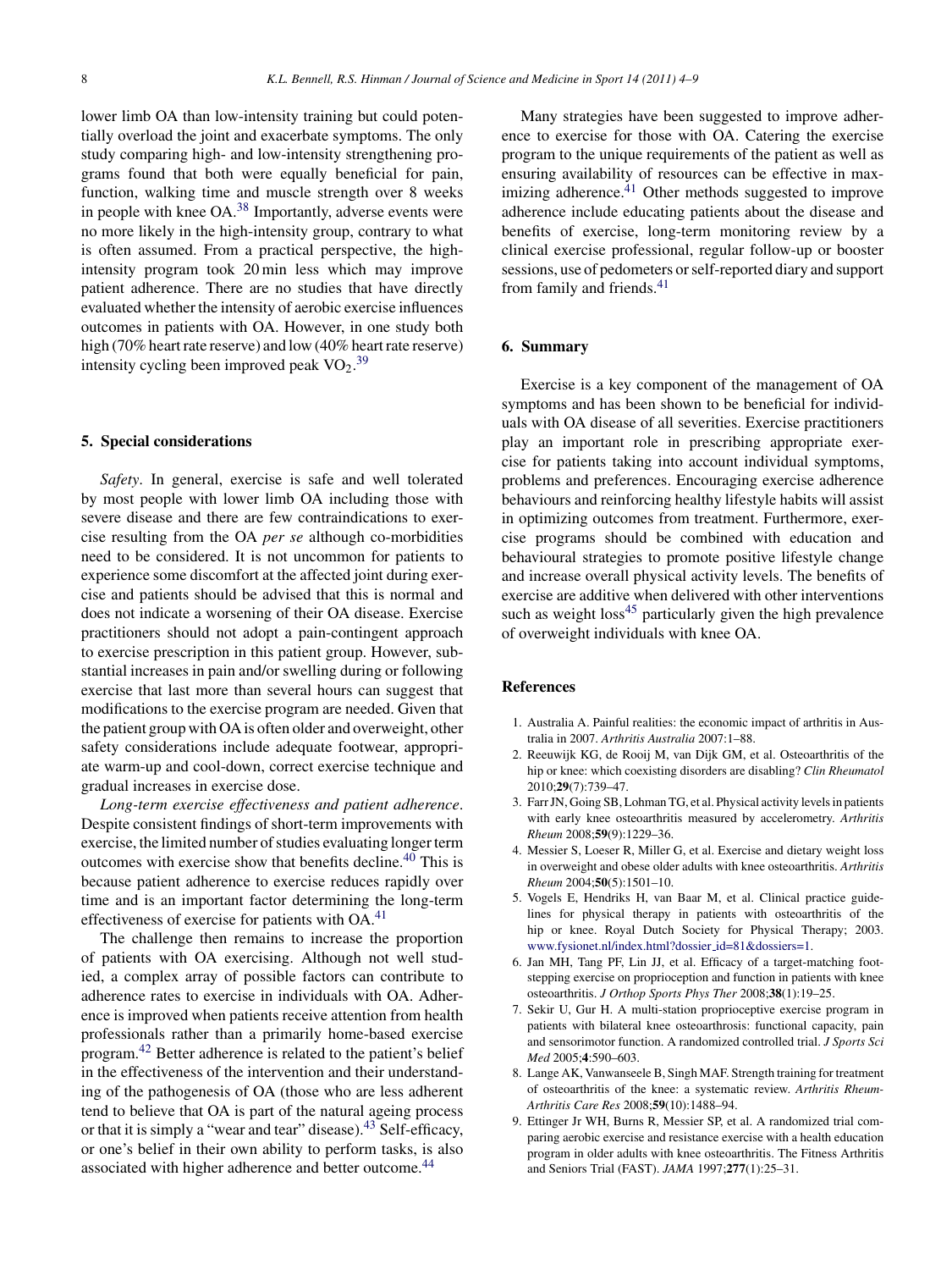<span id="page-4-0"></span>lower limb OA than low-intensity training but could potentially overload the joint and exacerbate symptoms. The only study comparing high- and low-intensity strengthening programs found that both were equally beneficial for pain, function, walking time and muscle strength over 8 weeks in people with knee OA.[38](#page-5-0) Importantly, adverse events were no more likely in the high-intensity group, contrary to what is often assumed. From a practical perspective, the highintensity program took 20 min less which may improve patient adherence. There are no studies that have directly evaluated whether the intensity of aerobic exercise influences outcomes in patients with OA. However, in one study both high (70% heart rate reserve) and low (40% heart rate reserve) intensity cycling been improved peak  $VO<sub>2</sub>$ .<sup>[39](#page-5-0)</sup>

# **5. Special considerations**

*Safety*. In general, exercise is safe and well tolerated by most people with lower limb OA including those with severe disease and there are few contraindications to exercise resulting from the OA *per se* although co-morbidities need to be considered. It is not uncommon for patients to experience some discomfort at the affected joint during exercise and patients should be advised that this is normal and does not indicate a worsening of their OA disease. Exercise practitioners should not adopt a pain-contingent approach to exercise prescription in this patient group. However, substantial increases in pain and/or swelling during or following exercise that last more than several hours can suggest that modifications to the exercise program are needed. Given that the patient group with OA is often older and overweight, other safety considerations include adequate footwear, appropriate warm-up and cool-down, correct exercise technique and gradual increases in exercise dose.

*Long-term exercise effectiveness and patient adherence*. Despite consistent findings of short-term improvements with exercise, the limited number of studies evaluating longer term outcomes with exercise show that benefits decline.[40](#page-5-0) This is because patient adherence to exercise reduces rapidly over time and is an important factor determining the long-term effectiveness of exercise for patients with OA.<sup>[41](#page-5-0)</sup>

The challenge then remains to increase the proportion of patients with OA exercising. Although not well studied, a complex array of possible factors can contribute to adherence rates to exercise in individuals with OA. Adherence is improved when patients receive attention from health professionals rather than a primarily home-based exercise program.[42](#page-5-0) Better adherence is related to the patient's belief in the effectiveness of the intervention and their understanding of the pathogenesis of OA (those who are less adherent tend to believe that OA is part of the natural ageing process or that it is simply a "wear and tear" disease).[43](#page-5-0) Self-efficacy, or one's belief in their own ability to perform tasks, is also associated with higher adherence and better outcome.[44](#page-5-0)

Many strategies have been suggested to improve adherence to exercise for those with OA. Catering the exercise program to the unique requirements of the patient as well as ensuring availability of resources can be effective in maximizing adherence. $41$  Other methods suggested to improve adherence include educating patients about the disease and benefits of exercise, long-term monitoring review by a clinical exercise professional, regular follow-up or booster sessions, use of pedometers or self-reported diary and support from family and friends.<sup>[41](#page-5-0)</sup>

# **6. Summary**

Exercise is a key component of the management of OA symptoms and has been shown to be beneficial for individuals with OA disease of all severities. Exercise practitioners play an important role in prescribing appropriate exercise for patients taking into account individual symptoms, problems and preferences. Encouraging exercise adherence behaviours and reinforcing healthy lifestyle habits will assist in optimizing outcomes from treatment. Furthermore, exercise programs should be combined with education and behavioural strategies to promote positive lifestyle change and increase overall physical activity levels. The benefits of exercise are additive when delivered with other interventions such as weight  $loss^{45}$  $loss^{45}$  $loss^{45}$  particularly given the high prevalence of overweight individuals with knee OA.

# **References**

- 1. Australia A. Painful realities: the economic impact of arthritis in Australia in 2007. *Arthritis Australia* 2007:1–88.
- 2. Reeuwijk KG, de Rooij M, van Dijk GM, et al. Osteoarthritis of the hip or knee: which coexisting disorders are disabling? *Clin Rheumatol* 2010;**29**(7):739–47.
- 3. Farr JN, Going SB, Lohman TG, et al. Physical activity levels in patients with early knee osteoarthritis measured by accelerometry. *Arthritis Rheum* 2008;**59**(9):1229–36.
- 4. Messier S, Loeser R, Miller G, et al. Exercise and dietary weight loss in overweight and obese older adults with knee osteoarthritis. *Arthritis Rheum* 2004;**50**(5):1501–10.
- 5. Vogels E, Hendriks H, van Baar M, et al. Clinical practice guidelines for physical therapy in patients with osteoarthritis of the hip or knee. Royal Dutch Society for Physical Therapy; 2003. [www.fysionet.nl/index.html?dossier](http://www.fysionet.nl/index.html%3Fdossier_id=81%26dossiers=1) id=81&dossiers=1.
- 6. Jan MH, Tang PF, Lin JJ, et al. Efficacy of a target-matching footstepping exercise on proprioception and function in patients with knee osteoarthritis. *J Orthop Sports Phys Ther* 2008;**38**(1):19–25.
- 7. Sekir U, Gur H. A multi-station proprioceptive exercise program in patients with bilateral knee osteoarthrosis: functional capacity, pain and sensorimotor function. A randomized controlled trial. *J Sports Sci Med* 2005;**4**:590–603.
- 8. Lange AK, Vanwanseele B, Singh MAF. Strength training for treatment of osteoarthritis of the knee: a systematic review. *Arthritis Rheum-Arthritis Care Res* 2008;**59**(10):1488–94.
- 9. Ettinger Jr WH, Burns R, Messier SP, et al. A randomized trial comparing aerobic exercise and resistance exercise with a health education program in older adults with knee osteoarthritis. The Fitness Arthritis and Seniors Trial (FAST). *JAMA* 1997;**277**(1):25–31.